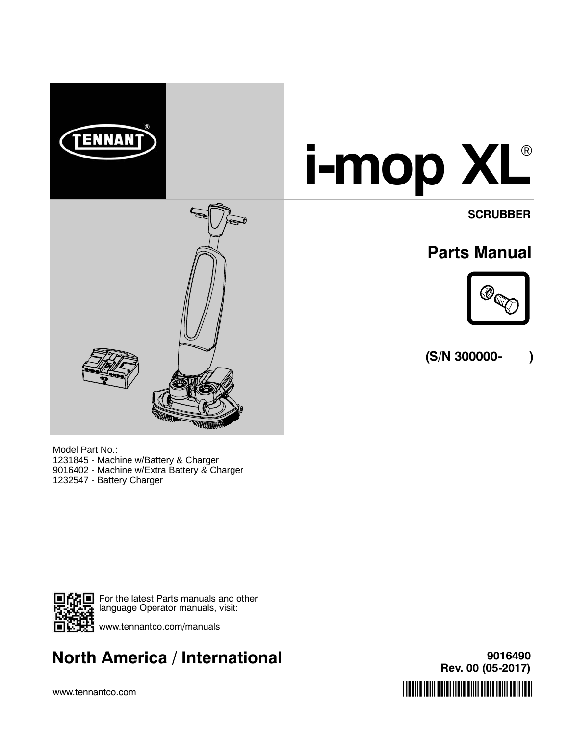

Model Part No.: 1231845 - Machine w/Battery & Charger 9016402 - Machine w/Extra Battery & Charger 1232547 - Battery Charger



For the latest Parts manuals and other language Operator manuals, visit:  $\mathbf{F}$  www.tennantco.com/manuals

# **Rev. 00 (05-2017) North America / International**

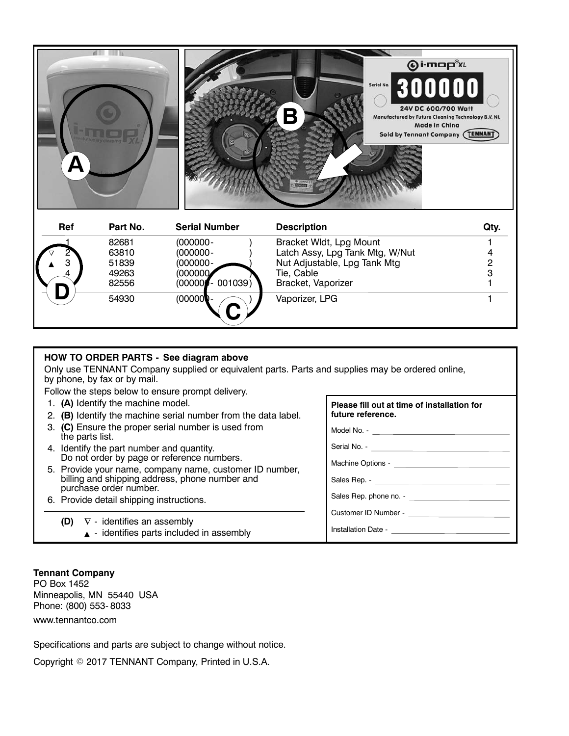

#### **HOW TO ORDER PARTS - See diagram above**

Only use TENNANT Company supplied or equivalent parts. Parts and supplies may be ordered online, by phone, by fax or by mail.

**C**

Follow the steps below to ensure prompt delivery.

- 1. **(A)** Identify the machine model.
- 2. **(B)** Identify the machine serial number from the data label.
- 3. **(C)** Ensure the proper serial number is used from the parts list.
- 4. Identify the part number and quantity. Do not order by page or reference numbers.
- 5. Provide your name, company name, customer ID number, billing and shipping address, phone number and purchase order number.
- 6. Provide detail shipping instructions.
	- **(D)**  $\nabla$  identifies an assembly
		- $\triangle$  identifies parts included in assembly

#### **Tennant Company**

PO Box 1452 Minneapolis, MN 55440 USA Phone: (800) 553- 8033 www.tennantco.com

Specifications and parts are subject to change without notice.

Copyright © 2017 TENNANT Company, Printed in U.S.A.

| Please fill out at time of installation for |
|---------------------------------------------|
| future reference.                           |

Model No. -

Serial No. - \_\_\_\_\_

Machine Options -

Sales Rep. - \_\_

Sales Rep. phone no. -

Customer ID Number -

Installation Date -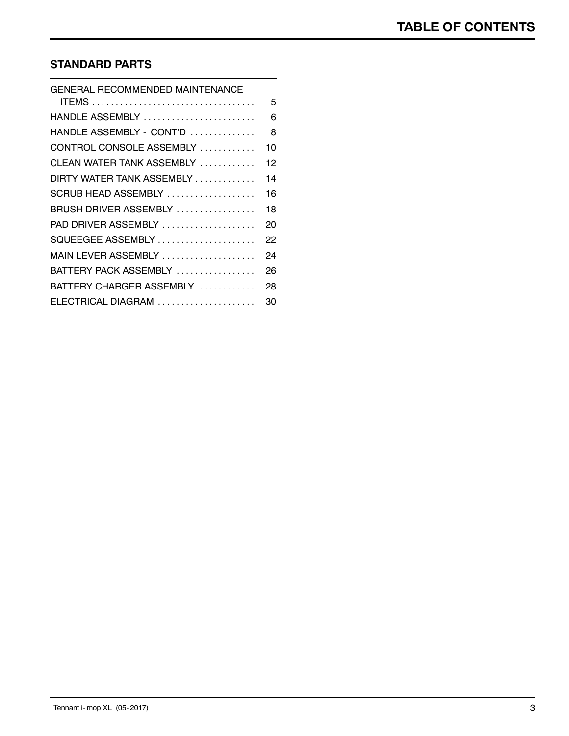# **STANDARD PARTS**

| <b>GENERAL RECOMMENDED MAINTENANCE</b> |    |
|----------------------------------------|----|
|                                        | 5  |
| HANDLE ASSEMBLY                        | 6  |
| HANDLE ASSEMBLY - CONT'D               | 8  |
| CONTROL CONSOLE ASSEMBLY               | 10 |
| CLEAN WATER TANK ASSEMBLY              | 12 |
| DIRTY WATER TANK ASSEMBLY              | 14 |
| SCRUB HEAD ASSEMBLY                    | 16 |
| BRUSH DRIVER ASSEMBLY                  | 18 |
| PAD DRIVER ASSEMBLY                    | 20 |
| SQUEEGEE ASSEMBLY                      | 22 |
| MAIN LEVER ASSEMBLY                    | 24 |
| BATTERY PACK ASSEMBLY                  | 26 |
| BATTERY CHARGER ASSEMBLY               | 28 |
| ELECTRICAL DIAGRAM                     | 30 |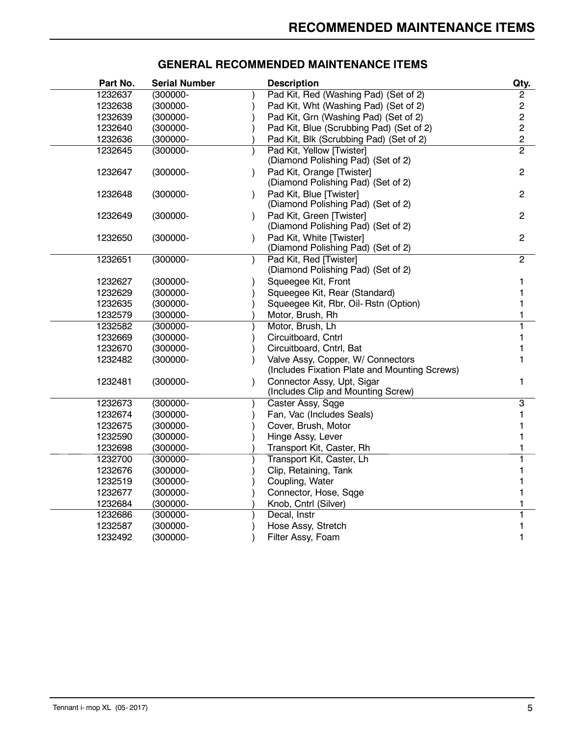| Part No. | <b>Serial Number</b> | <b>Description</b>                                           | Qty.           |
|----------|----------------------|--------------------------------------------------------------|----------------|
| 1232637  | (300000-             | Pad Kit, Red (Washing Pad) (Set of 2)                        | 2              |
| 1232638  | (300000-             | Pad Kit, Wht (Washing Pad) (Set of 2)                        | $\overline{c}$ |
| 1232639  | (300000-             | Pad Kit, Grn (Washing Pad) (Set of 2)                        | $\overline{c}$ |
| 1232640  | (300000-             | Pad Kit, Blue (Scrubbing Pad) (Set of 2)                     | $\overline{c}$ |
| 1232636  | (300000-             | Pad Kit, Blk (Scrubbing Pad) (Set of 2)                      | $\overline{c}$ |
| 1232645  | $(300000 -$          | Pad Kit, Yellow [Twister]                                    | $\overline{2}$ |
|          |                      | (Diamond Polishing Pad) (Set of 2)                           |                |
| 1232647  | $(300000 -$          | Pad Kit, Orange [Twister]                                    | $\overline{2}$ |
|          |                      | (Diamond Polishing Pad) (Set of 2)                           |                |
| 1232648  | $(300000 -$          | Pad Kit, Blue [Twister]                                      | $\overline{2}$ |
|          |                      | (Diamond Polishing Pad) (Set of 2)                           |                |
| 1232649  | (300000-             | Pad Kit, Green [Twister]                                     | 2              |
|          |                      | (Diamond Polishing Pad) (Set of 2)                           |                |
| 1232650  | $(300000 -$          | Pad Kit, White [Twister]                                     | $\overline{c}$ |
|          |                      | (Diamond Polishing Pad) (Set of 2)                           |                |
| 1232651  | $(300000 -$          | Pad Kit, Red [Twister]<br>(Diamond Polishing Pad) (Set of 2) | $\overline{2}$ |
| 1232627  | (300000-             | Squeegee Kit, Front                                          |                |
| 1232629  | $(300000 -$          | Squeegee Kit, Rear (Standard)                                | 1              |
| 1232635  | (300000-             | Squeegee Kit, Rbr, Oil-Rstn (Option)                         |                |
| 1232579  | (300000-             | Motor, Brush, Rh                                             |                |
| 1232582  | $(300000 -$          | Motor, Brush, Lh                                             |                |
| 1232669  | (300000-             | Circuitboard, Cntrl                                          |                |
| 1232670  | (300000-             | Circuitboard, Cntrl, Bat                                     |                |
| 1232482  | (300000-             | Valve Assy, Copper, W/ Connectors                            |                |
|          |                      | (Includes Fixation Plate and Mounting Screws)                |                |
| 1232481  | $(300000 -$          | Connector Assy, Upt, Sigar                                   | 1.             |
|          |                      | (Includes Clip and Mounting Screw)                           |                |
| 1232673  | (300000-             | Caster Assy, Sqge                                            | 3              |
| 1232674  | (300000-             | Fan, Vac (Includes Seals)                                    | 1              |
| 1232675  | (300000-             | Cover, Brush, Motor                                          | 1              |
| 1232590  | (300000-             | Hinge Assy, Lever                                            |                |
| 1232698  | (300000-             | Transport Kit, Caster, Rh                                    |                |
| 1232700  | (300000-             | Transport Kit, Caster, Lh                                    |                |
| 1232676  | (300000-             | Clip, Retaining, Tank                                        |                |
| 1232519  | (300000-             | Coupling, Water                                              |                |
| 1232677  | (300000-             | Connector, Hose, Sqge                                        |                |
| 1232684  | (300000-             | Knob, Cntrl (Silver)                                         |                |
| 1232686  | (300000-             | Decal, Instr                                                 |                |
| 1232587  | (300000-             | Hose Assy, Stretch                                           | 1              |
| 1232492  | (300000-             | Filter Assy, Foam                                            | 1              |

# **GENERAL RECOMMENDED MAINTENANCE ITEMS**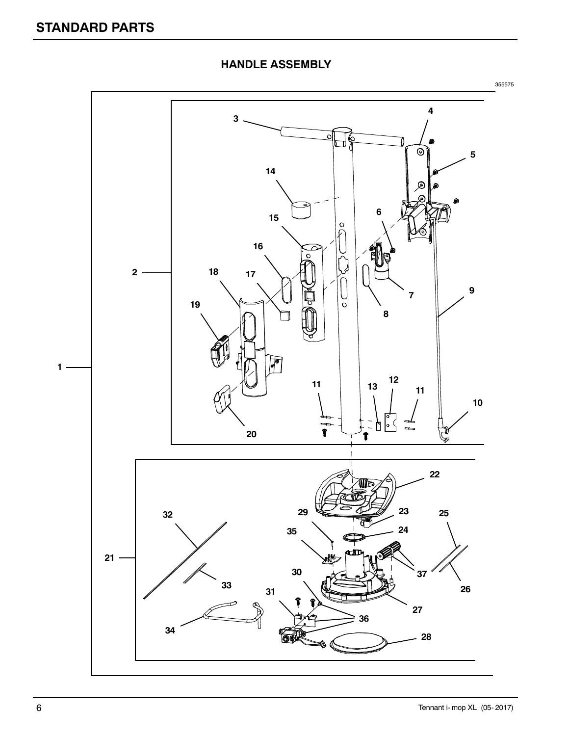![](_page_5_Figure_1.jpeg)

**HANDLE ASSEMBLY**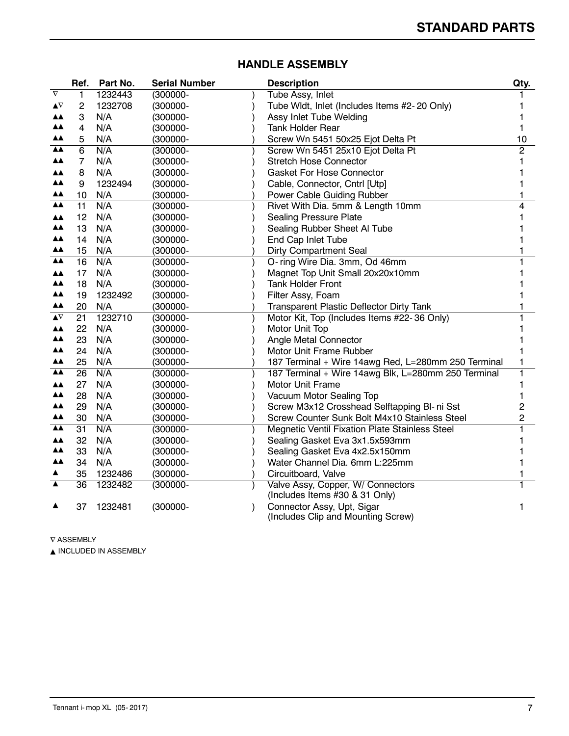|                            | Ref. | Part No. | <b>Serial Number</b> | <b>Description</b>                                                  | Qty.           |
|----------------------------|------|----------|----------------------|---------------------------------------------------------------------|----------------|
| $\overline{\nabla}$        | 1    | 1232443  | $(300000 -$          | Tube Assy, Inlet                                                    |                |
| $\blacktriangle \! \nabla$ | 2    | 1232708  | (300000-             | Tube Widt, Inlet (Includes Items #2-20 Only)                        |                |
| ▲▲                         | 3    | N/A      | (300000-             | Assy Inlet Tube Welding                                             |                |
| ▲▲                         | 4    | N/A      | (300000-             | <b>Tank Holder Rear</b>                                             |                |
| ▲▲                         | 5    | N/A      | (300000-             | Screw Wn 5451 50x25 Ejot Delta Pt                                   | 10             |
| ▲▲                         | 6    | N/A      | (300000-             | Screw Wn 5451 25x10 Ejot Delta Pt                                   | $\overline{c}$ |
| ▲▲                         | 7    | N/A      | (300000-             | <b>Stretch Hose Connector</b>                                       |                |
| ▲▲                         | 8    | N/A      | (300000-             | <b>Gasket For Hose Connector</b>                                    |                |
| ▲▲                         | 9    | 1232494  | (300000-             | Cable, Connector, Cntrl [Utp]                                       |                |
| ▲▲                         | 10   | N/A      | (300000-             | Power Cable Guiding Rubber                                          |                |
| <b>AA</b>                  | 11   | N/A      | (300000-             | Rivet With Dia. 5mm & Length 10mm                                   | 4              |
| ▲▲                         | 12   | N/A      | (300000-             | <b>Sealing Pressure Plate</b>                                       |                |
| ▲▲                         | 13   | N/A      | $(300000 -$          | Sealing Rubber Sheet Al Tube                                        |                |
| ▲▲                         | 14   | N/A      | (300000-             | End Cap Inlet Tube                                                  |                |
| ▲▲                         | 15   | N/A      | (300000-             | <b>Dirty Compartment Seal</b>                                       |                |
| ▲▲                         | 16   | N/A      | (300000-             | O- ring Wire Dia. 3mm, Od 46mm                                      |                |
| <b>AA</b>                  | 17   | N/A      | (300000-             | Magnet Top Unit Small 20x20x10mm                                    |                |
| ▲▲                         | 18   | N/A      | (300000-             | <b>Tank Holder Front</b>                                            |                |
| ▲▲                         | 19   | 1232492  | $(300000 -$          | Filter Assy, Foam                                                   |                |
| ▲▲                         | 20   | N/A      | (300000-             | Transparent Plastic Deflector Dirty Tank                            |                |
| $\blacktriangle \! \nabla$ | 21   | 1232710  | $(300000 -$          | Motor Kit, Top (Includes Items #22-36 Only)                         |                |
| ▲▲                         | 22   | N/A      | (300000-             | Motor Unit Top                                                      |                |
| ▲▲                         | 23   | N/A      | (300000-             | Angle Metal Connector                                               |                |
| ▲▲                         | 24   | N/A      | (300000-             | Motor Unit Frame Rubber                                             |                |
| ▲▲                         | 25   | N/A      | (300000-             | 187 Terminal + Wire 14awg Red, L=280mm 250 Terminal                 |                |
| $\triangle \triangle$      | 26   | N/A      | (300000-             | 187 Terminal + Wire 14awg Blk, L=280mm 250 Terminal                 |                |
| ▲▲                         | 27   | N/A      | (300000-             | Motor Unit Frame                                                    |                |
| ▲▲                         | 28   | N/A      | $(300000 -$          | Vacuum Motor Sealing Top                                            |                |
| ▲▲                         | 29   | N/A      | (300000-             | Screw M3x12 Crosshead Selftapping BI- ni Sst                        | 2              |
| ▲▲                         | 30   | N/A      | (300000-             | Screw Counter Sunk Bolt M4x10 Stainless Steel                       | 2              |
| ▲▲                         | 31   | N/A      | (300000-             | Megnetic Ventil Fixation Plate Stainless Steel                      |                |
| <b>AA</b>                  | 32   | N/A      | (300000-             | Sealing Gasket Eva 3x1.5x593mm                                      |                |
| ▲▲                         | 33   | N/A      | $(300000 -$          | Sealing Gasket Eva 4x2.5x150mm                                      |                |
| ▲▲                         | 34   | N/A      | $(300000 -$          | Water Channel Dia. 6mm L:225mm                                      |                |
| ▲                          | 35   | 1232486  | $(300000 -$          | Circuitboard, Valve                                                 |                |
| ▲                          | 36   | 1232482  | $(300000 -$          | Valve Assy, Copper, W/ Connectors<br>(Includes Items #30 & 31 Only) |                |
|                            | 37   | 1232481  | $(300000 -$          | Connector Assy, Upt, Sigar<br>(Includes Clip and Mounting Screw)    |                |

#### **HANDLE ASSEMBLY**

 $\nabla$  ASSEMBLY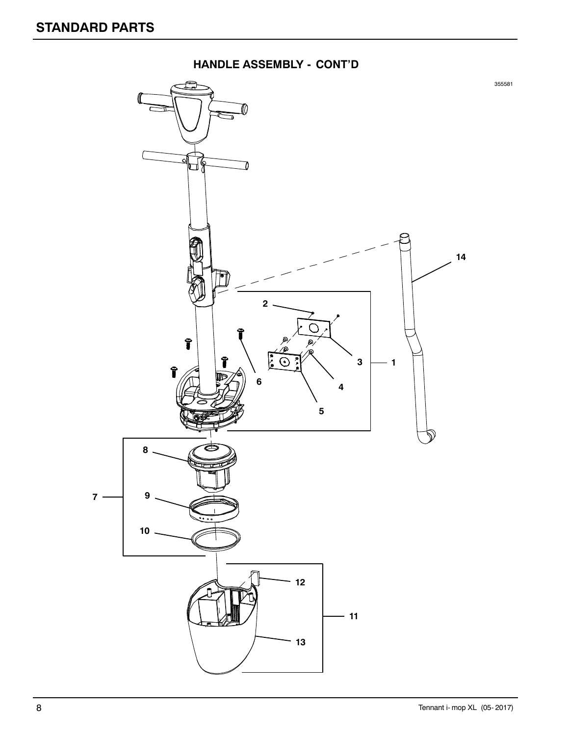![](_page_7_Figure_1.jpeg)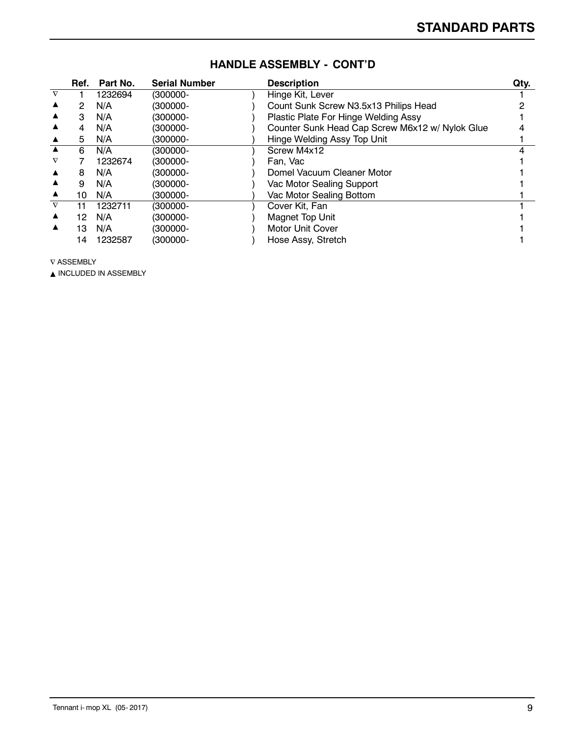|                  | Ref. | Part No. | <b>Serial Number</b> | <b>Description</b>                              | Qty. |
|------------------|------|----------|----------------------|-------------------------------------------------|------|
| $\nabla$         |      | 1232694  | (300000-             | Hinge Kit, Lever                                |      |
|                  | 2    | N/A      | (300000-             | Count Sunk Screw N3.5x13 Philips Head           |      |
|                  | 3    | N/A      | (300000-             | Plastic Plate For Hinge Welding Assy            |      |
|                  | 4    | N/A      | (300000-             | Counter Sunk Head Cap Screw M6x12 w/ Nylok Glue |      |
|                  | 5.   | N/A      | (300000-             | Hinge Welding Assy Top Unit                     |      |
|                  | 6    | N/A      | (300000-             | Screw M4x12                                     |      |
| $\nabla$         |      | 1232674  | (300000-             | Fan. Vac                                        |      |
| ▲                | 8    | N/A      | (300000-             | Domel Vacuum Cleaner Motor                      |      |
|                  | 9    | N/A      | (300000-             | Vac Motor Sealing Support                       |      |
| ▲                | 10   | N/A      | (300000-             | Vac Motor Sealing Bottom                        |      |
| $\nabla$         | 11   | 1232711  | (300000-             | Cover Kit, Fan                                  |      |
| ▲                | 12   | N/A      | (300000-             | Magnet Top Unit                                 |      |
| $\blacktriangle$ | 13   | N/A      | (300000-             | <b>Motor Unit Cover</b>                         |      |
|                  | 14   | 1232587  | (300000-             | Hose Assy, Stretch                              |      |

#### **HANDLE ASSEMBLY - CONT'D**

 $\nabla$  ASSEMBLY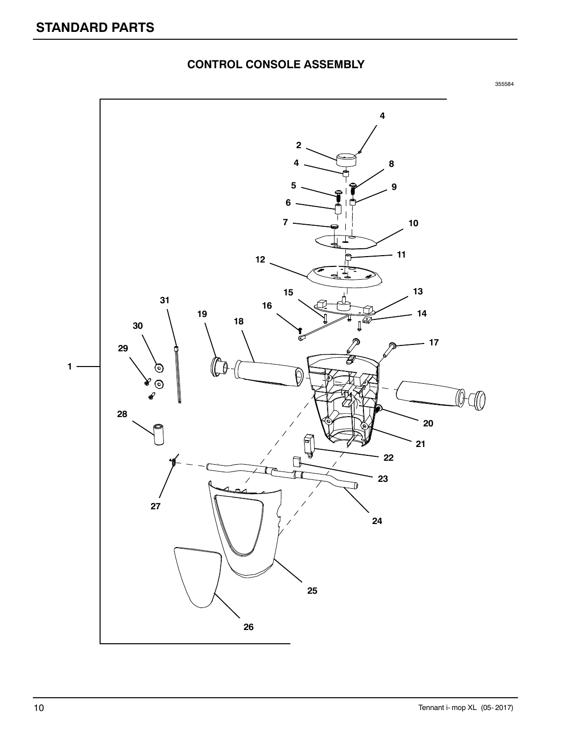![](_page_9_Figure_1.jpeg)

# **CONTROL CONSOLE ASSEMBLY**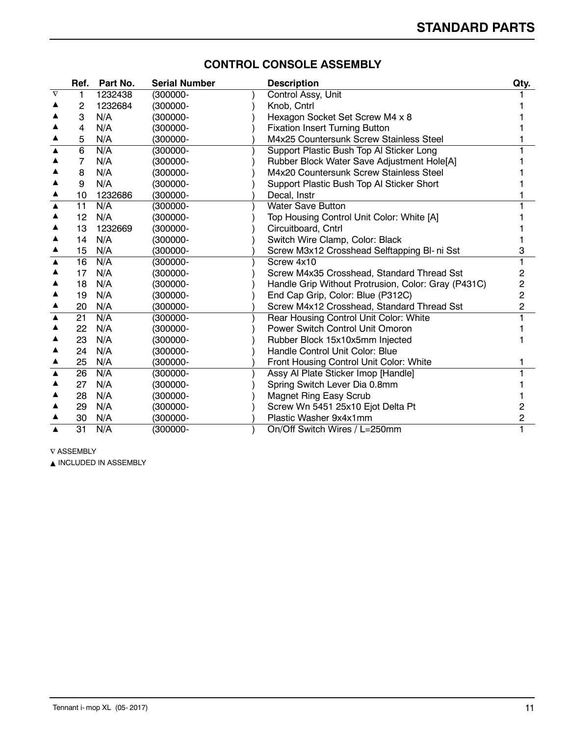|                  | Ref.           | Part No. | <b>Serial Number</b> | <b>Description</b>                                  | Qty. |
|------------------|----------------|----------|----------------------|-----------------------------------------------------|------|
| $\nabla$         |                | 1232438  | (300000-             | Control Assy, Unit                                  |      |
|                  | 2              | 1232684  | $(300000 -$          | Knob, Cntrl                                         |      |
|                  | 3              | N/A      | (300000-             | Hexagon Socket Set Screw M4 x 8                     |      |
|                  | 4              | N/A      | (300000-             | <b>Fixation Insert Turning Button</b>               |      |
|                  | 5              | N/A      | (300000-             | M4x25 Countersunk Screw Stainless Steel             |      |
|                  | $\overline{6}$ | N/A      | (300000-             | Support Plastic Bush Top Al Sticker Long            |      |
|                  | 7              | N/A      | (300000-             | Rubber Block Water Save Adjustment Hole[A]          |      |
|                  | 8              | N/A      | (300000-             | M4x20 Countersunk Screw Stainless Steel             |      |
|                  | 9              | N/A      | (300000-             | Support Plastic Bush Top Al Sticker Short           |      |
|                  | 10             | 1232686  | (300000-             | Decal, Instr                                        |      |
| $\blacktriangle$ | 11             | N/A      | (300000-             | <b>Water Save Button</b>                            |      |
|                  | 12             | N/A      | (300000-             | Top Housing Control Unit Color: White [A]           |      |
|                  | 13             | 1232669  | (300000-             | Circuitboard, Cntrl                                 |      |
|                  | 14             | N/A      | $(300000 -$          | Switch Wire Clamp, Color: Black                     |      |
|                  | 15             | N/A      | (300000-             | Screw M3x12 Crosshead Selftapping BI- ni Sst        | з    |
| $\blacktriangle$ | 16             | N/A      | (300000-             | Screw 4x10                                          |      |
|                  | 17             | N/A      | (300000-             | Screw M4x35 Crosshead, Standard Thread Sst          | 2    |
|                  | 18             | N/A      | (300000-             | Handle Grip Without Protrusion, Color: Gray (P431C) | 2    |
|                  | 19             | N/A      | $(300000 -$          | End Cap Grip, Color: Blue (P312C)                   | 2    |
|                  | 20             | N/A      | (300000-             | Screw M4x12 Crosshead, Standard Thread Sst          | 2    |
| ▲                | 21             | N/A      | (300000-             | Rear Housing Control Unit Color: White              |      |
|                  | 22             | N/A      | (300000-             | Power Switch Control Unit Omoron                    |      |
|                  | 23             | N/A      | (300000-             | Rubber Block 15x10x5mm Injected                     |      |
|                  | 24             | N/A      | (300000-             | Handle Control Unit Color: Blue                     |      |
|                  | 25             | N/A      | (300000-             | Front Housing Control Unit Color: White             |      |
| ▲                | 26             | N/A      | (300000-             | Assy Al Plate Sticker Imop [Handle]                 |      |
|                  | 27             | N/A      | (300000-             | Spring Switch Lever Dia 0.8mm                       |      |
|                  | 28             | N/A      | $(300000 -$          | <b>Magnet Ring Easy Scrub</b>                       |      |
|                  | 29             | N/A      | (300000-             | Screw Wn 5451 25x10 Ejot Delta Pt                   | 2    |
|                  | 30             | N/A      | (300000-             | Plastic Washer 9x4x1mm                              |      |
|                  | 31             | N/A      | (300000-             | On/Off Switch Wires / L=250mm                       |      |

# **CONTROL CONSOLE ASSEMBLY**

 $\nabla$  ASSEMBLY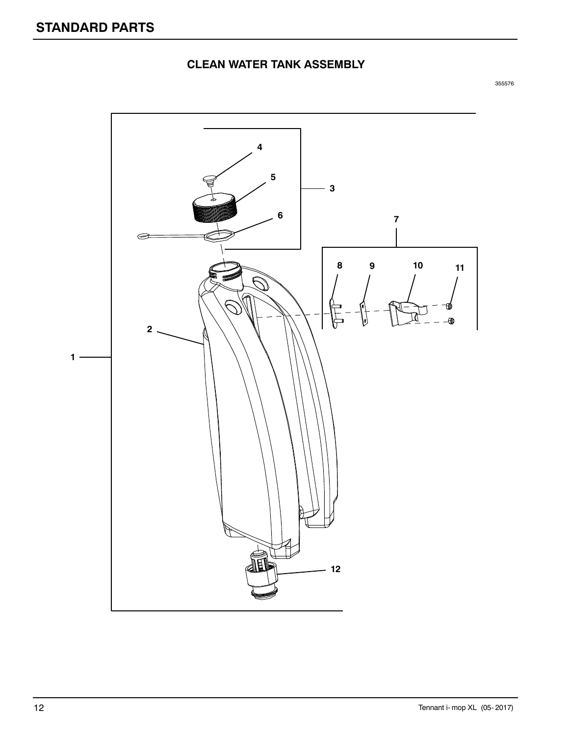# **CLEAN WATER TANK ASSEMBLY**

![](_page_11_Figure_3.jpeg)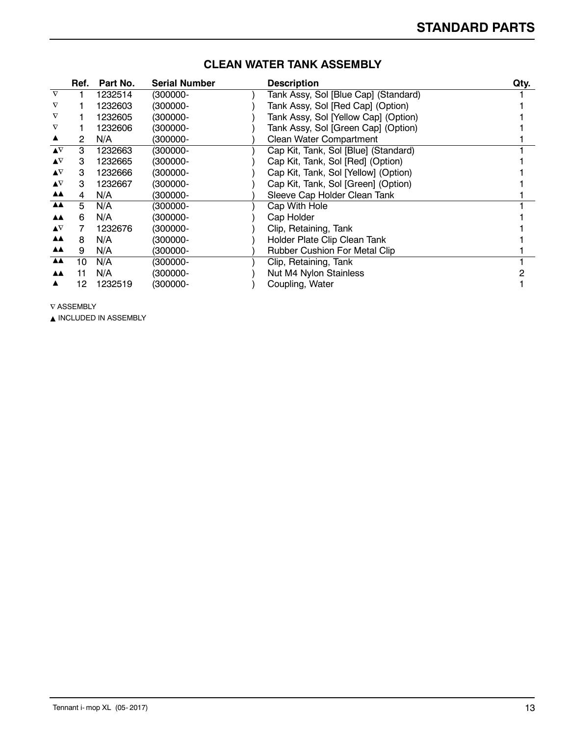|                           | Ref. | Part No. | <b>Serial Number</b> | <b>Description</b>                   | Qty. |
|---------------------------|------|----------|----------------------|--------------------------------------|------|
| $\nabla$                  |      | 1232514  | (300000-             | Tank Assy, Sol [Blue Cap] (Standard) |      |
| $\nabla$                  |      | 1232603  | (300000-             | Tank Assy, Sol [Red Cap] (Option)    |      |
|                           |      | 1232605  | (300000-             | Tank Assy, Sol [Yellow Cap] (Option) |      |
|                           |      | 1232606  | (300000-             | Tank Assy, Sol [Green Cap] (Option)  |      |
|                           | 2    | N/A      | (300000-             | <b>Clean Water Compartment</b>       |      |
| $\blacktriangle^{\nabla}$ | 3    | 1232663  | (300000-             | Cap Kit, Tank, Sol [Blue] (Standard) |      |
| $\blacktriangle^{\nabla}$ | З    | 1232665  | (300000-             | Cap Kit, Tank, Sol [Red] (Option)    |      |
| $\blacktriangle^{\nabla}$ | 3    | 1232666  | (300000-             | Cap Kit, Tank, Sol [Yellow] (Option) |      |
| $\blacktriangle^{\nabla}$ | 3    | 1232667  | (300000-             | Cap Kit, Tank, Sol [Green] (Option)  |      |
| <b>AA</b>                 | 4    | N/A      | (300000-             | Sleeve Cap Holder Clean Tank         |      |
| <b>AA</b>                 | 5    | N/A      | (300000-             | Cap With Hole                        |      |
| <b>AA</b>                 | 6    | N/A      | (300000-             | Cap Holder                           |      |
| $\blacktriangle^{\nabla}$ |      | 1232676  | (300000-             | Clip, Retaining, Tank                |      |
| <b>AA</b>                 | 8    | N/A      | (300000-             | Holder Plate Clip Clean Tank         |      |
| <b>AA</b>                 | 9    | N/A      | (300000-             | Rubber Cushion For Metal Clip        |      |
| <b>AA</b>                 | 10   | N/A      | (300000-             | Clip, Retaining, Tank                |      |
| <b>AA</b>                 | 11   | N/A      | (300000-             | Nut M4 Nylon Stainless               |      |
|                           | 12   | 1232519  | (300000-             | Coupling, Water                      |      |

## **CLEAN WATER TANK ASSEMBLY**

 $\nabla$  ASSEMBLY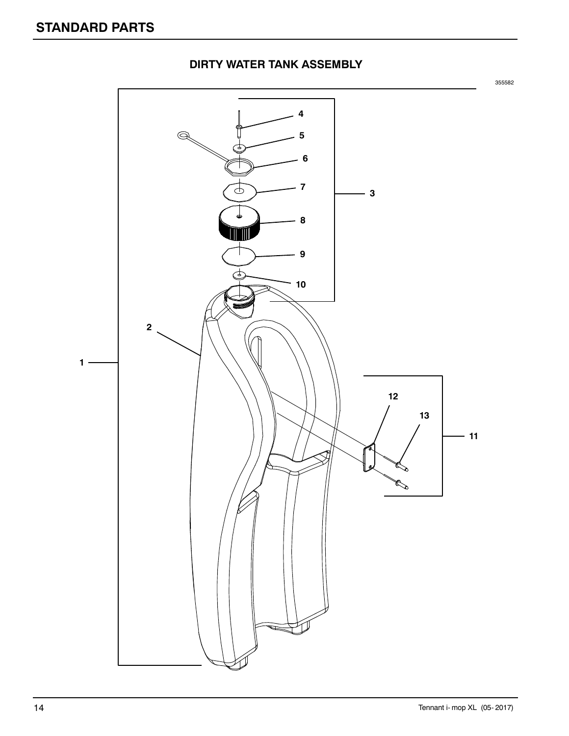![](_page_13_Figure_1.jpeg)

#### **DIRTY WATER TANK ASSEMBLY**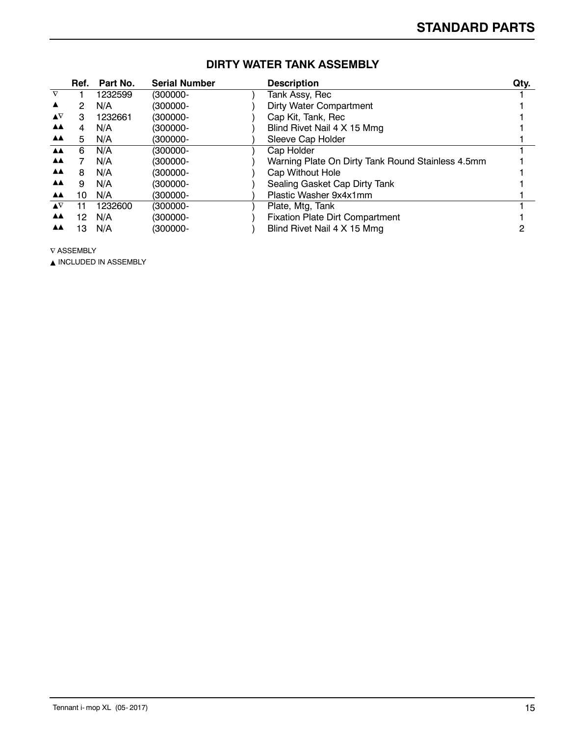|                           | Ref. | Part No. | <b>Serial Number</b> | <b>Description</b>                                | Qty. |
|---------------------------|------|----------|----------------------|---------------------------------------------------|------|
| $\nabla$                  |      | 1232599  | (300000-             | Tank Assy, Rec                                    |      |
| ▲                         | 2    | N/A      | $(300000 -$          | <b>Dirty Water Compartment</b>                    |      |
| $\blacktriangle^{\nabla}$ | 3    | 1232661  | (300000-             | Cap Kit, Tank, Rec                                |      |
| <b>AA</b>                 | 4    | N/A      | (300000-             | Blind Rivet Nail 4 X 15 Mmg                       |      |
| <b>AA</b>                 | 5    | N/A      | (300000-             | Sleeve Cap Holder                                 |      |
| AA.                       | 6    | N/A      | (300000-             | Cap Holder                                        |      |
| <b>AA</b>                 |      | N/A      | (300000-             | Warning Plate On Dirty Tank Round Stainless 4.5mm |      |
| <b>AA</b>                 | 8    | N/A      | (300000-             | Cap Without Hole                                  |      |
| <b>AA</b>                 | 9    | N/A      | (300000-             | Sealing Gasket Cap Dirty Tank                     |      |
| <b>AA</b>                 | 10   | N/A      | (300000-             | Plastic Washer 9x4x1mm                            |      |
| $\blacktriangle \nabla$   | 11   | 1232600  | (300000-             | Plate, Mtg, Tank                                  |      |
| <b>AA</b>                 | 12   | N/A      | (300000-             | <b>Fixation Plate Dirt Compartment</b>            |      |
| <b>AA</b>                 | 13   | N/A      | (300000-             | Blind Rivet Nail 4 X 15 Mmg                       |      |

# **DIRTY WATER TANK ASSEMBLY**

 $\nabla$  ASSEMBLY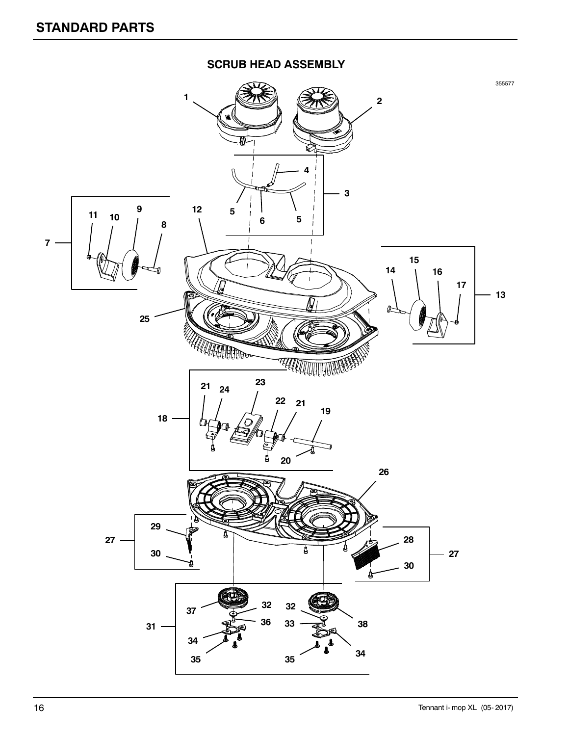![](_page_15_Figure_1.jpeg)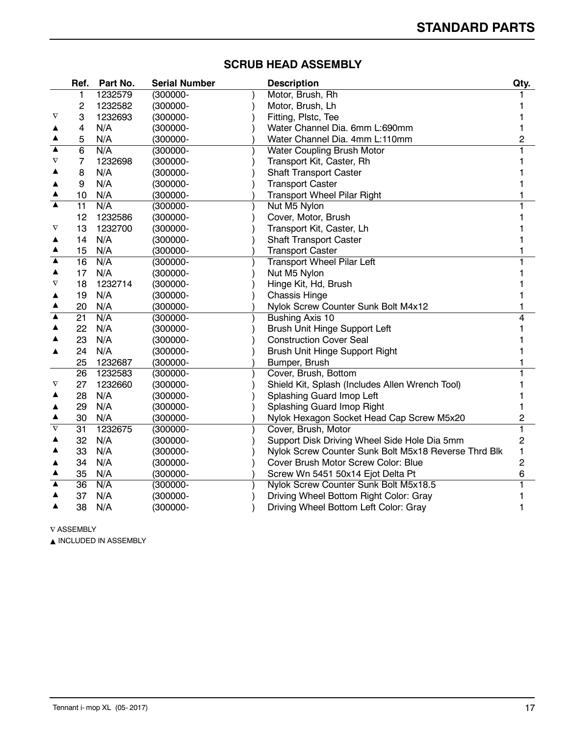|                  | Ref.            | Part No. | <b>Serial Number</b> | <b>Description</b>                                   | Qty. |
|------------------|-----------------|----------|----------------------|------------------------------------------------------|------|
|                  | 1               | 1232579  | (300000-             | Motor, Brush, Rh                                     |      |
|                  | 2               | 1232582  | (300000-             | Motor, Brush, Lh                                     |      |
| $\rm{v}$         | 3               | 1232693  | (300000-             | Fitting, Plstc, Tee                                  |      |
|                  | 4               | N/A      | (300000-             | Water Channel Dia. 6mm L:690mm                       |      |
|                  | 5               | N/A      | (300000-             | Water Channel Dia. 4mm L:110mm                       | 2    |
| ▲                | 6               | N/A      | (300000-             | Water Coupling Brush Motor                           |      |
| $\nabla$         | 7               | 1232698  | (300000-             | Transport Kit, Caster, Rh                            |      |
|                  | 8               | N/A      | (300000-             | <b>Shaft Transport Caster</b>                        |      |
|                  | 9               | N/A      | (300000-             | <b>Transport Caster</b>                              |      |
|                  | 10              | N/A      | (300000-             | <b>Transport Wheel Pilar Right</b>                   |      |
|                  | 11              | N/A      | (300000-             | Nut M5 Nylon                                         |      |
|                  | 12              | 1232586  | (300000-             | Cover, Motor, Brush                                  |      |
| $\nabla$         | 13              | 1232700  | (300000-             | Transport Kit, Caster, Lh                            |      |
| ▲                | 14              | N/A      | (300000-             | <b>Shaft Transport Caster</b>                        |      |
| ▲                | 15              | N/A      | (300000-             | <b>Transport Caster</b>                              |      |
| ▲                | 16              | N/A      | (300000-             | <b>Transport Wheel Pilar Left</b>                    |      |
|                  | 17              | N/A      | (300000-             | Nut M5 Nylon                                         |      |
| $\nabla$         | 18              | 1232714  | (300000-             | Hinge Kit, Hd, Brush                                 |      |
|                  | 19              | N/A      | (300000-             | <b>Chassis Hinge</b>                                 |      |
|                  | 20              | N/A      | (300000-             | Nylok Screw Counter Sunk Bolt M4x12                  |      |
| $\blacktriangle$ | $\overline{21}$ | N/A      | (300000-             | Bushing Axis 10                                      |      |
|                  | 22              | N/A      | (300000-             | Brush Unit Hinge Support Left                        |      |
|                  | 23              | N/A      | (300000-             | <b>Construction Cover Seal</b>                       |      |
|                  | 24              | N/A      | (300000-             | Brush Unit Hinge Support Right                       |      |
|                  | 25              | 1232687  | (300000-             | Bumper, Brush                                        |      |
|                  | 26              | 1232583  | $(300000 -$          | Cover, Brush, Bottom                                 |      |
| V                | 27              | 1232660  | (300000-             | Shield Kit, Splash (Includes Allen Wrench Tool)      |      |
|                  | 28              | N/A      | (300000-             | Splashing Guard Imop Left                            |      |
|                  | 29              | N/A      | (300000-             | Splashing Guard Imop Right                           |      |
|                  | 30              | N/A      | (300000-             | Nylok Hexagon Socket Head Cap Screw M5x20            | 2    |
| $\nabla$         | 31              | 1232675  | (300000-             | Cover, Brush, Motor                                  |      |
|                  | 32              | N/A      | (300000-             | Support Disk Driving Wheel Side Hole Dia 5mm         | 2    |
|                  | 33              | N/A      | $(300000 -$          | Nylok Screw Counter Sunk Bolt M5x18 Reverse Thrd Blk | 1    |
|                  | 34              | N/A      | (300000-             | Cover Brush Motor Screw Color: Blue                  | 2    |
| ▲                | 35              | N/A      | (300000-             | Screw Wn 5451 50x14 Ejot Delta Pt                    | 6    |
| ▲                | 36              | N/A      | (300000-             | Nylok Screw Counter Sunk Bolt M5x18.5                |      |
|                  | 37              | N/A      | (300000-             | Driving Wheel Bottom Right Color: Gray               |      |
| ▲                | 38              | N/A      | (300000-             | Driving Wheel Bottom Left Color: Gray                |      |

# **SCRUB HEAD ASSEMBLY**

 $\nabla$  ASSEMBLY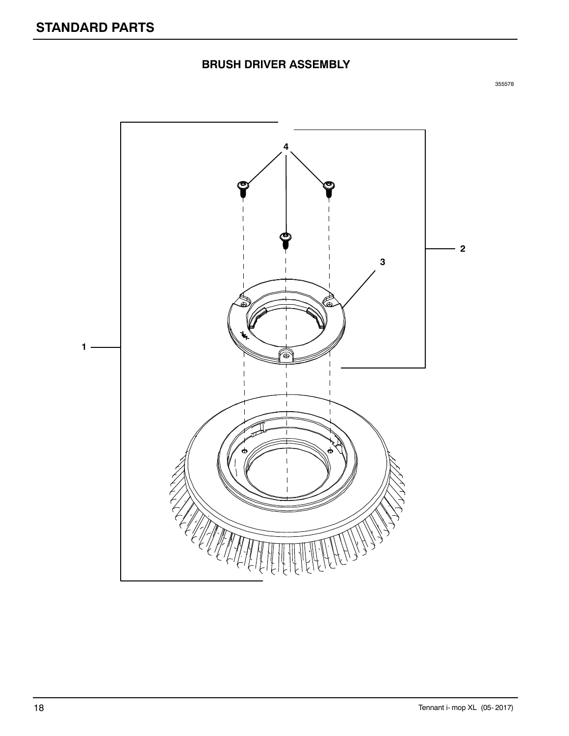# **BRUSH DRIVER ASSEMBLY**

![](_page_17_Picture_3.jpeg)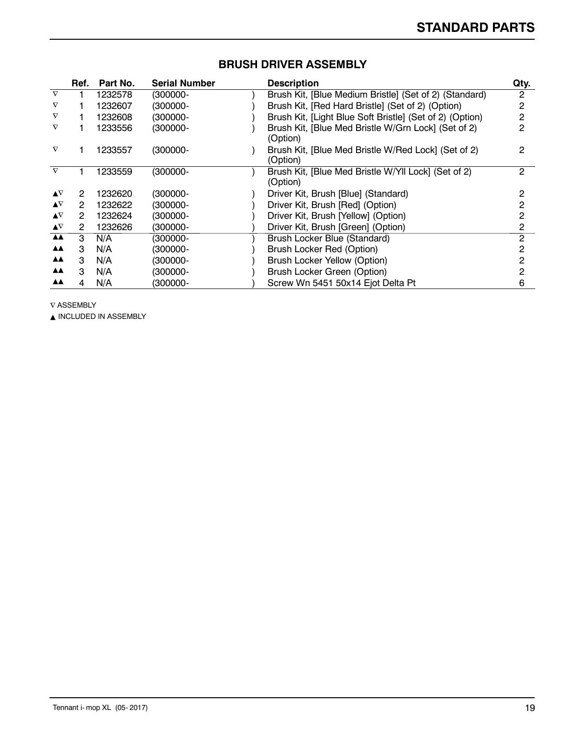|                           | Ref. | Part No. | <b>Serial Number</b> | <b>Description</b>                                              | Qty. |
|---------------------------|------|----------|----------------------|-----------------------------------------------------------------|------|
| $\nabla$                  |      | 1232578  | (300000-             | Brush Kit, [Blue Medium Bristle] (Set of 2) (Standard)          | 2    |
| $\nabla$                  |      | 1232607  | (300000-             | Brush Kit, [Red Hard Bristle] (Set of 2) (Option)               | 2    |
| $\rm{V}$                  |      | 1232608  | (300000-             | Brush Kit, [Light Blue Soft Bristle] (Set of 2) (Option)        | 2    |
| $\rm{v}$                  |      | 1233556  | $(300000 -$          | Brush Kit, [Blue Med Bristle W/Grn Lock] (Set of 2)<br>(Option) | 2    |
| $\nabla$                  |      | 1233557  | $(300000 -$          | Brush Kit, [Blue Med Bristle W/Red Lock] (Set of 2)<br>(Option) | 2    |
| $\nabla$                  |      | 1233559  | $(300000 -$          | Brush Kit, [Blue Med Bristle W/Yll Lock] (Set of 2)<br>(Option) | 2    |
| $\blacktriangle \nabla$   | 2    | 1232620  | (300000-             | Driver Kit, Brush [Blue] (Standard)                             | 2    |
| $\blacktriangle \nabla$   | 2    | 1232622  | (300000-             | Driver Kit, Brush [Red] (Option)                                | 2    |
| $\blacktriangle \nabla$   | 2    | 1232624  | (300000-             | Driver Kit, Brush [Yellow] (Option)                             | 2    |
| $\blacktriangle^{\nabla}$ | 2    | 1232626  | (300000-             | Driver Kit, Brush [Green] (Option)                              | 2    |
| <b>AA</b>                 | 3    | N/A      | (300000-             | Brush Locker Blue (Standard)                                    | 2    |
| ▲▲                        | з    | N/A      | (300000-             | Brush Locker Red (Option)                                       |      |
| ▲▲                        | з    | N/A      | (300000-             | Brush Locker Yellow (Option)                                    |      |
| ▲▲                        | з    | N/A      | (300000-             | Brush Locker Green (Option)                                     |      |
| ▲▲                        |      | N/A      | (300000-             | Screw Wn 5451 50x14 Ejot Delta Pt                               | 6    |

#### **BRUSH DRIVER ASSEMBLY**

 $\nabla$  ASSEMBLY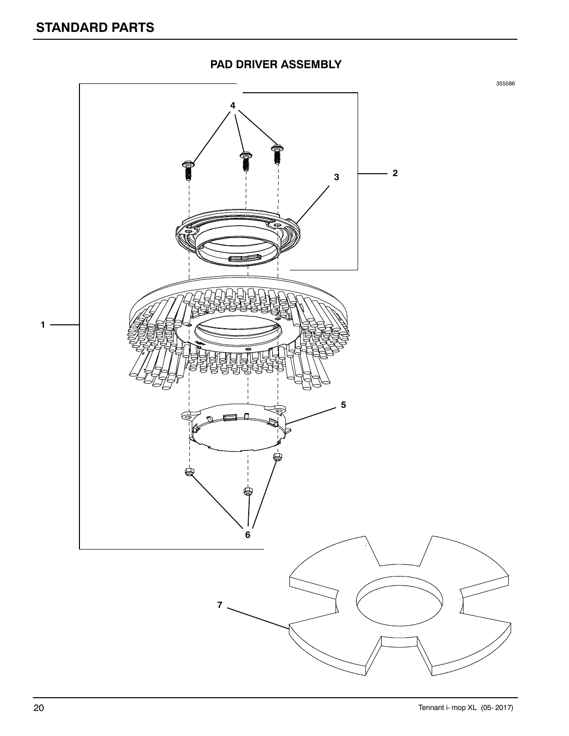![](_page_19_Figure_1.jpeg)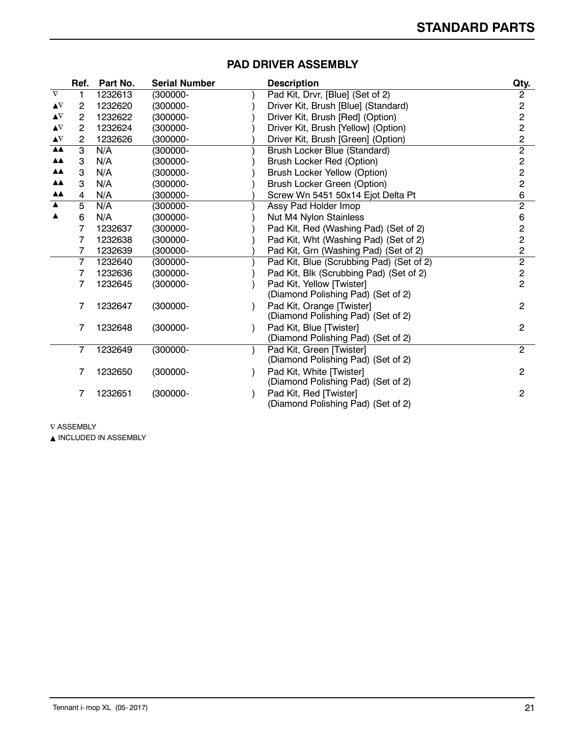|                         | Ref.           | Part No. | <b>Serial Number</b> | <b>Description</b>                       | Qty.                                           |
|-------------------------|----------------|----------|----------------------|------------------------------------------|------------------------------------------------|
| $\boldsymbol{\nabla}$   |                | 1232613  | (300000-             | Pad Kit, Drvr, [Blue] (Set of 2)         | $\boldsymbol{2}$                               |
| $\blacktriangle \nabla$ | 2              | 1232620  | (300000-             | Driver Kit, Brush [Blue] (Standard)      |                                                |
| ▲∇                      | $\mathbf{2}$   | 1232622  | $(300000 -$          | Driver Kit, Brush [Red] (Option)         | $\begin{array}{c}\n 2 \\ 2 \\ 2\n \end{array}$ |
| $\blacktriangle \nabla$ | $\overline{2}$ | 1232624  | (300000-             | Driver Kit, Brush [Yellow] (Option)      |                                                |
| ▲∇                      | 2              | 1232626  | (300000-             | Driver Kit, Brush [Green] (Option)       |                                                |
| $\triangle$             | 3              | N/A      | (300000-             | Brush Locker Blue (Standard)             | $\overline{2}$                                 |
| ▲▲                      | 3              | N/A      | (300000-             | Brush Locker Red (Option)                |                                                |
| ÅÅ                      | 3              | N/A      | (300000-             | <b>Brush Locker Yellow (Option)</b>      |                                                |
| ▲▲                      | 3              | N/A      | (300000-             | Brush Locker Green (Option)              | $\begin{array}{c}\n 2 \\ 2 \\ 6\n \end{array}$ |
| <b>AA</b>               | 4              | N/A      | (300000-             | Screw Wn 5451 50x14 Ejot Delta Pt        |                                                |
| $\blacktriangle$        | 5              | N/A      | (300000-             | Assy Pad Holder Imop                     | $\overline{2}$                                 |
| ▲                       | 6              | N/A      | (300000-             | Nut M4 Nylon Stainless                   | 6                                              |
|                         | 7              | 1232637  | (300000-             | Pad Kit, Red (Washing Pad) (Set of 2)    |                                                |
|                         | 7              | 1232638  | (300000-             | Pad Kit, Wht (Washing Pad) (Set of 2)    |                                                |
|                         | 7              | 1232639  | (300000-             | Pad Kit, Grn (Washing Pad) (Set of 2)    | $\frac{2}{2}$                                  |
|                         | 7              | 1232640  | (300000-             | Pad Kit, Blue (Scrubbing Pad) (Set of 2) |                                                |
|                         | 7              | 1232636  | (300000-             | Pad Kit, Blk (Scrubbing Pad) (Set of 2)  | $\frac{2}{2}$                                  |
|                         | 7              | 1232645  | (300000-             | Pad Kit, Yellow [Twister]                |                                                |
|                         |                |          |                      | (Diamond Polishing Pad) (Set of 2)       |                                                |
|                         | 7              | 1232647  | $(300000 -$          | Pad Kit, Orange [Twister]                | 2                                              |
|                         |                |          |                      | (Diamond Polishing Pad) (Set of 2)       |                                                |
|                         | 7              | 1232648  | $(300000 -$          | Pad Kit, Blue [Twister]                  | 2                                              |
|                         |                |          |                      | (Diamond Polishing Pad) (Set of 2)       |                                                |
|                         | 7              | 1232649  | (300000-             | Pad Kit, Green [Twister]                 | $\overline{c}$                                 |
|                         |                |          |                      | (Diamond Polishing Pad) (Set of 2)       |                                                |
|                         | 7              | 1232650  | $(300000 -$          | Pad Kit, White [Twister]                 | 2                                              |
|                         |                |          |                      | (Diamond Polishing Pad) (Set of 2)       |                                                |
|                         | 7              | 1232651  | $(300000 -$          | Pad Kit, Red [Twister]                   | 2                                              |
|                         |                |          |                      | (Diamond Polishing Pad) (Set of 2)       |                                                |

#### **PAD DRIVER ASSEMBLY**

 $\nabla$  ASSEMBLY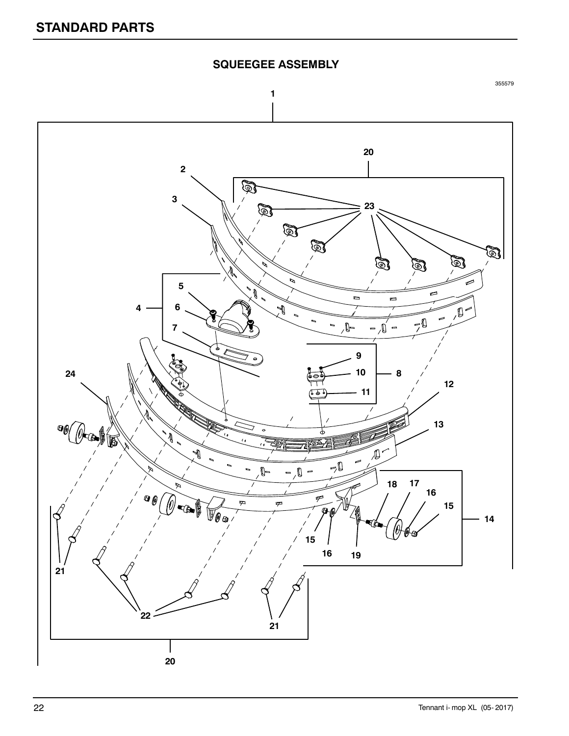![](_page_21_Figure_1.jpeg)

![](_page_21_Figure_2.jpeg)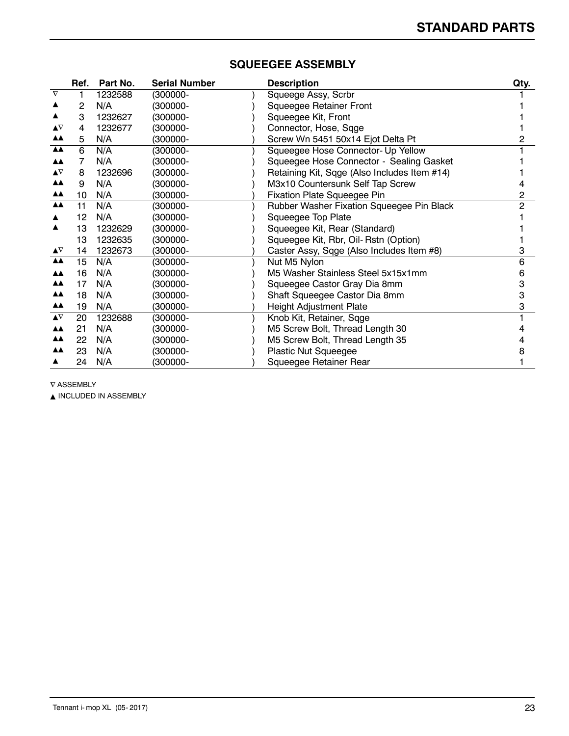| Ref. | Part No. | <b>Serial Number</b> | <b>Description</b>                        | Qty.                                                                                            |
|------|----------|----------------------|-------------------------------------------|-------------------------------------------------------------------------------------------------|
|      | 1232588  | (300000-             |                                           |                                                                                                 |
| 2    | N/A      | (300000-             | <b>Squeegee Retainer Front</b>            |                                                                                                 |
| 3    | 1232627  | (300000-             | Squeegee Kit, Front                       |                                                                                                 |
| 4    | 1232677  | (300000-             | Connector, Hose, Sqge                     |                                                                                                 |
| 5    | N/A      | (300000-             | Screw Wn 5451 50x14 Ejot Delta Pt         |                                                                                                 |
| 6    | N/A      | (300000-             | Squeegee Hose Connector- Up Yellow        |                                                                                                 |
|      | N/A      | (300000-             | Squeegee Hose Connector - Sealing Gasket  |                                                                                                 |
| 8    | 1232696  | (300000-             |                                           |                                                                                                 |
| 9    | N/A      | (300000-             | M3x10 Countersunk Self Tap Screw          |                                                                                                 |
| 10   | N/A      | (300000-             | <b>Fixation Plate Squeegee Pin</b>        | 2                                                                                               |
| 11   | N/A      | (300000-             | Rubber Washer Fixation Squeegee Pin Black | 2                                                                                               |
| 12   | N/A      | (300000-             | Squeegee Top Plate                        |                                                                                                 |
| 13   | 1232629  | (300000-             | Squeegee Kit, Rear (Standard)             |                                                                                                 |
| 13   | 1232635  | (300000-             | Squeegee Kit, Rbr, Oil- Rstn (Option)     |                                                                                                 |
| 14   | 1232673  | (300000-             | Caster Assy, Sqge (Also Includes Item #8) | 3                                                                                               |
| 15   | N/A      | (300000-             | Nut M5 Nylon                              | 6                                                                                               |
| 16   | N/A      | (300000-             | M5 Washer Stainless Steel 5x15x1mm        | 6                                                                                               |
| 17   | N/A      | (300000-             | Squeegee Castor Gray Dia 8mm              | 3                                                                                               |
| 18   | N/A      | (300000-             | Shaft Squeegee Castor Dia 8mm             | 3                                                                                               |
| 19   | N/A      | (300000-             | <b>Height Adjustment Plate</b>            | 3                                                                                               |
| 20   | 1232688  | (300000-             |                                           |                                                                                                 |
| 21   | N/A      | (300000-             | M5 Screw Bolt, Thread Length 30           |                                                                                                 |
| 22   | N/A      | (300000-             | M5 Screw Bolt, Thread Length 35           |                                                                                                 |
| 23   | N/A      | (300000-             | Plastic Nut Squeegee                      |                                                                                                 |
| 24   | N/A      | (300000-             | Squeegee Retainer Rear                    |                                                                                                 |
|      |          |                      |                                           | Squeege Assy, Scrbr<br>Retaining Kit, Sqge (Also Includes Item #14)<br>Knob Kit, Retainer, Sqge |

#### **SQUEEGEE ASSEMBLY**

 $\nabla$  ASSEMBLY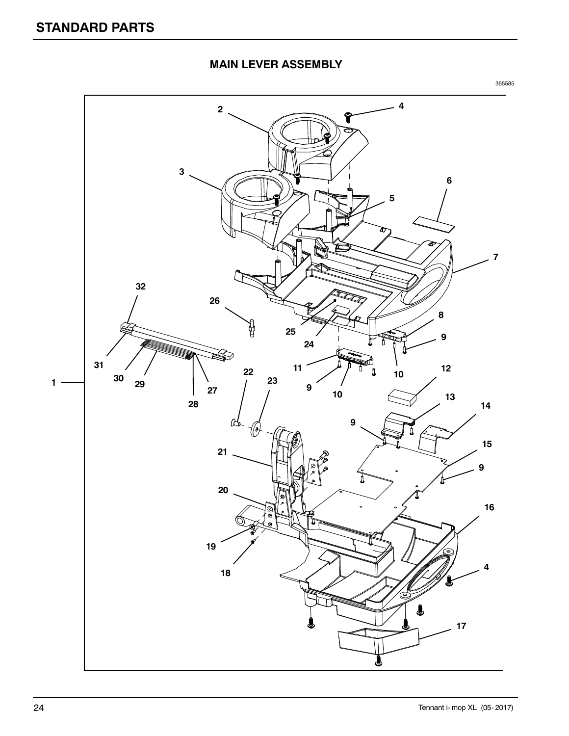## **MAIN LEVER ASSEMBLY**

![](_page_23_Picture_3.jpeg)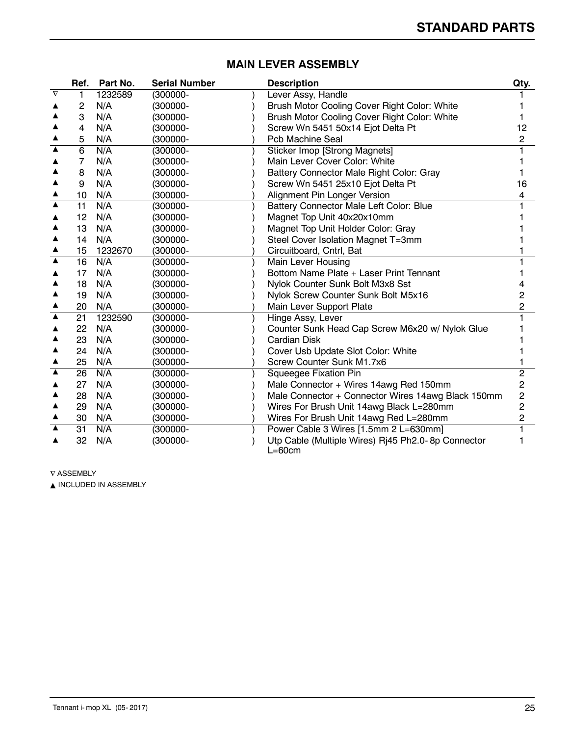|                     | Ref.            | Part No. | <b>Serial Number</b> | <b>Description</b>                                 | Qty.           |
|---------------------|-----------------|----------|----------------------|----------------------------------------------------|----------------|
| $\overline{\nabla}$ | 1               | 1232589  | $(300000 -$          | Lever Assy, Handle                                 |                |
|                     | 2               | N/A      | (300000-             | Brush Motor Cooling Cover Right Color: White       |                |
|                     | 3               | N/A      | (300000-             | Brush Motor Cooling Cover Right Color: White       |                |
|                     | 4               | N/A      | (300000-             | Screw Wn 5451 50x14 Ejot Delta Pt                  | 12             |
|                     | 5               | N/A      | (300000-             | <b>Pcb Machine Seal</b>                            | 2              |
| ▲                   | $6\overline{6}$ | N/A      | (300000-             | <b>Sticker Imop [Strong Magnets]</b>               |                |
|                     | 7               | N/A      | (300000-             | Main Lever Cover Color: White                      |                |
|                     | 8               | N/A      | (300000-             | Battery Connector Male Right Color: Gray           |                |
|                     | 9               | N/A      | $(300000 -$          | Screw Wn 5451 25x10 Ejot Delta Pt                  | 16             |
|                     | 10              | N/A      | (300000-             | Alignment Pin Longer Version                       | 4              |
| $\blacktriangle$    | 11              | N/A      | (300000-             | Battery Connector Male Left Color: Blue            |                |
| ▲                   | 12              | N/A      | (300000-             | Magnet Top Unit 40x20x10mm                         |                |
| ▲                   | 13              | N/A      | (300000-             | Magnet Top Unit Holder Color: Gray                 |                |
| ▲                   | 14              | N/A      | $(300000 -$          | Steel Cover Isolation Magnet T=3mm                 |                |
| ▲                   | 15              | 1232670  | (300000-             | Circuitboard, Cntrl, Bat                           |                |
| $\blacktriangle$    | 16              | N/A      | (300000-             | Main Lever Housing                                 |                |
|                     | 17              | N/A      | (300000-             | Bottom Name Plate + Laser Print Tennant            |                |
|                     | 18              | N/A      | (300000-             | Nylok Counter Sunk Bolt M3x8 Sst                   |                |
|                     | 19              | N/A      | (300000-             | Nylok Screw Counter Sunk Bolt M5x16                | 2              |
| ▲                   | 20              | N/A      | (300000-             | Main Lever Support Plate                           | 2              |
| ▲                   | 21              | 1232590  | (300000-             | Hinge Assy, Lever                                  |                |
|                     | 22              | N/A      | (300000-             | Counter Sunk Head Cap Screw M6x20 w/ Nylok Glue    |                |
|                     | 23              | N/A      | (300000-             | <b>Cardian Disk</b>                                |                |
|                     | 24              | N/A      | (300000-             | Cover Usb Update Slot Color: White                 |                |
|                     | 25              | N/A      | (300000-             | Screw Counter Sunk M1.7x6                          |                |
| $\blacktriangle$    | 26              | N/A      | (300000-             | Squeegee Fixation Pin                              | 2              |
|                     | 27              | N/A      | (300000-             | Male Connector + Wires 14awg Red 150mm             | 2              |
|                     | 28              | N/A      | $(300000 -$          | Male Connector + Connector Wires 14awg Black 150mm | $\overline{c}$ |
|                     | 29              | N/A      | (300000-             | Wires For Brush Unit 14awg Black L=280mm           | 2              |
|                     | 30              | N/A      | (300000-             | Wires For Brush Unit 14awg Red L=280mm             | 2              |
|                     | 31              | N/A      | (300000-             | Power Cable 3 Wires [1.5mm 2 L=630mm]              |                |
|                     | 32              | N/A      | (300000-             | Utp Cable (Multiple Wires) Rj45 Ph2.0-8p Connector |                |
|                     |                 |          |                      | $L=60cm$                                           |                |

## **MAIN LEVER ASSEMBLY**

 $\nabla$  ASSEMBLY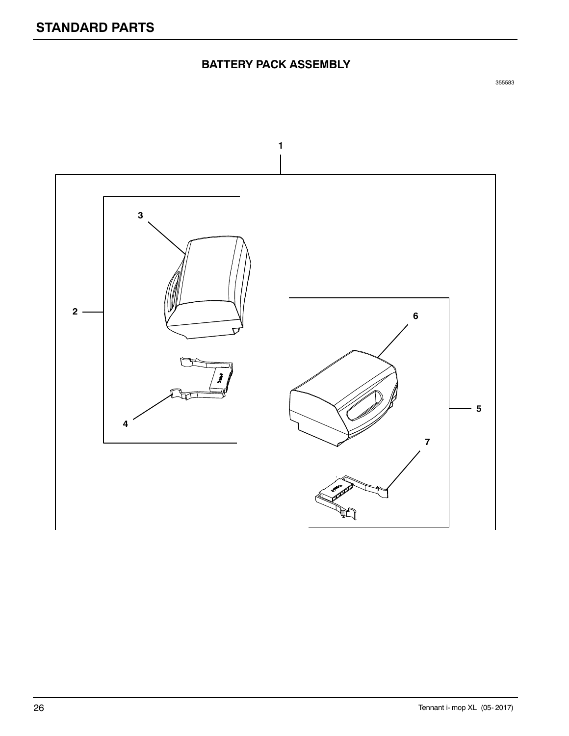# **BATTERY PACK ASSEMBLY**

![](_page_25_Figure_3.jpeg)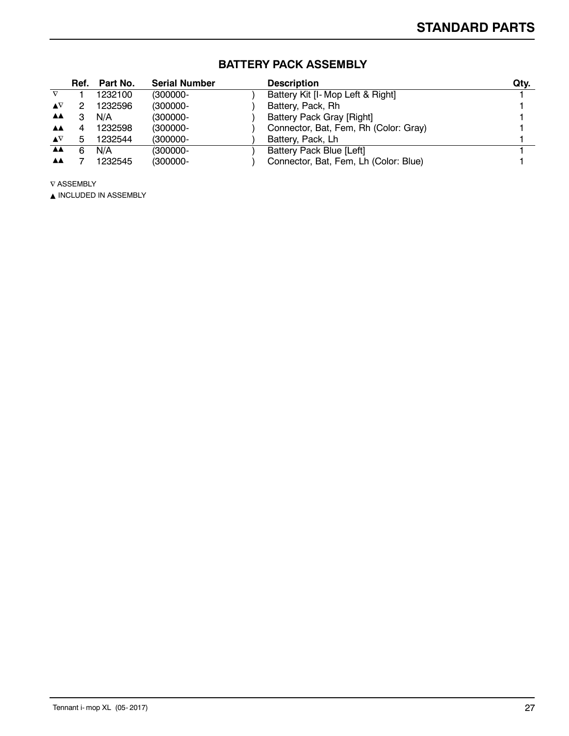|                                |   | Ref. Part No. | <b>Serial Number</b> | <b>Description</b>                    | Qty. |
|--------------------------------|---|---------------|----------------------|---------------------------------------|------|
|                                |   | 1232100       | $(300000 -$          | Battery Kit [I- Mop Left & Right]     |      |
| $\blacktriangle \nabla$        |   | 1232596       | $(300000 -$          | Battery, Pack, Rh                     |      |
| ▲▲                             |   | N/A           | $(300000 -$          | <b>Battery Pack Gray [Right]</b>      |      |
| AA.                            |   | 1232598       | $(300000 -$          | Connector, Bat, Fem, Rh (Color: Gray) |      |
| $\blacktriangle \triangledown$ | b | 1232544       | $(300000 -$          | Battery, Pack, Lh                     |      |
| <b>AA</b>                      | 6 | N/A           | $(300000 -$          | Battery Pack Blue [Left]              |      |
| AA.                            |   | 1232545       | $(300000 -$          | Connector, Bat, Fem, Lh (Color: Blue) |      |

# **BATTERY PACK ASSEMBLY**

 $\nabla$  ASSEMBLY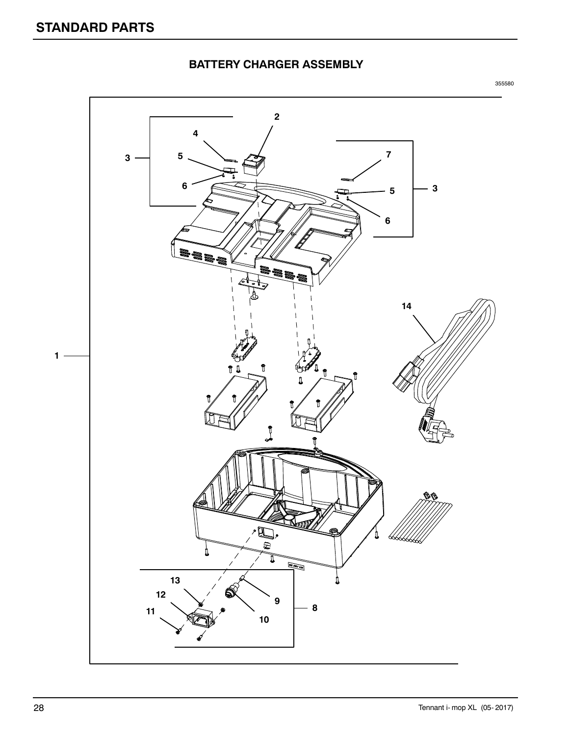![](_page_27_Figure_1.jpeg)

![](_page_27_Figure_3.jpeg)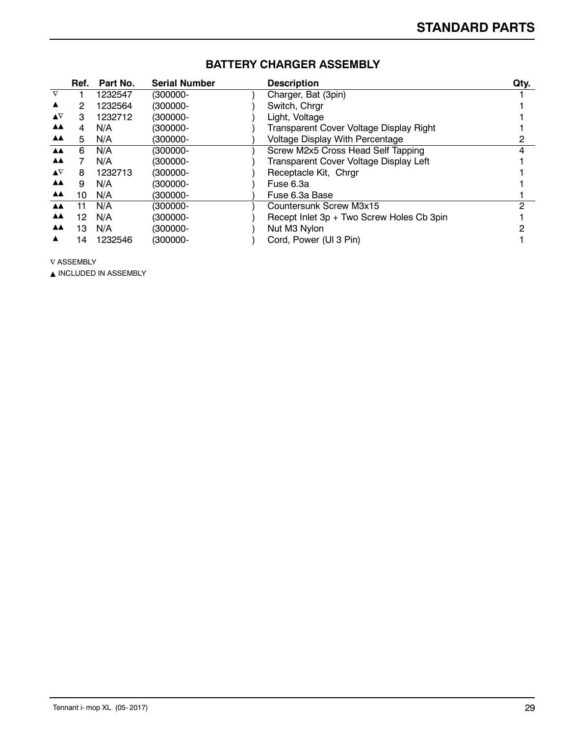|                           | Ref. | Part No. | <b>Serial Number</b> | <b>Description</b>                        | Qty. |
|---------------------------|------|----------|----------------------|-------------------------------------------|------|
| $\nabla$                  |      | 1232547  | (300000-             | Charger, Bat (3pin)                       |      |
| ▲                         | 2    | 1232564  | (300000-             | Switch, Chrgr                             |      |
| $\blacktriangle^{\nabla}$ | З    | 1232712  | (300000-             | Light, Voltage                            |      |
| ▲▲                        | 4    | N/A      | $(300000 -$          | Transparent Cover Voltage Display Right   |      |
| <b>AA</b>                 | 5.   | N/A      | (300000-             | <b>Voltage Display With Percentage</b>    |      |
| AA.                       | 6    | N/A      | (300000-             | Screw M2x5 Cross Head Self Tapping        | 4    |
| <b>AA</b>                 |      | N/A      | $(300000 -$          | Transparent Cover Voltage Display Left    |      |
| $\blacktriangle \nabla$   | 8    | 1232713  | (300000-             | Receptacle Kit, Chrgr                     |      |
| <b>AA</b>                 | 9    | N/A      | (300000-             | Fuse 6.3a                                 |      |
| <b>AA</b>                 | 10   | N/A      | (300000-             | Fuse 6.3a Base                            |      |
| <b>AA</b>                 | 11   | N/A      | $(300000 -$          | Countersunk Screw M3x15                   | っ    |
| <b>AA</b>                 | 12   | N/A      | $(300000 -$          | Recept Inlet 3p + Two Screw Holes Cb 3pin |      |
| <b>AA</b>                 | 13   | N/A      | $(300000 -$          | Nut M3 Nylon                              |      |
|                           | 14   | 1232546  | (300000-             | Cord, Power (UI 3 Pin)                    |      |

## **BATTERY CHARGER ASSEMBLY**

 $\nabla$  ASSEMBLY